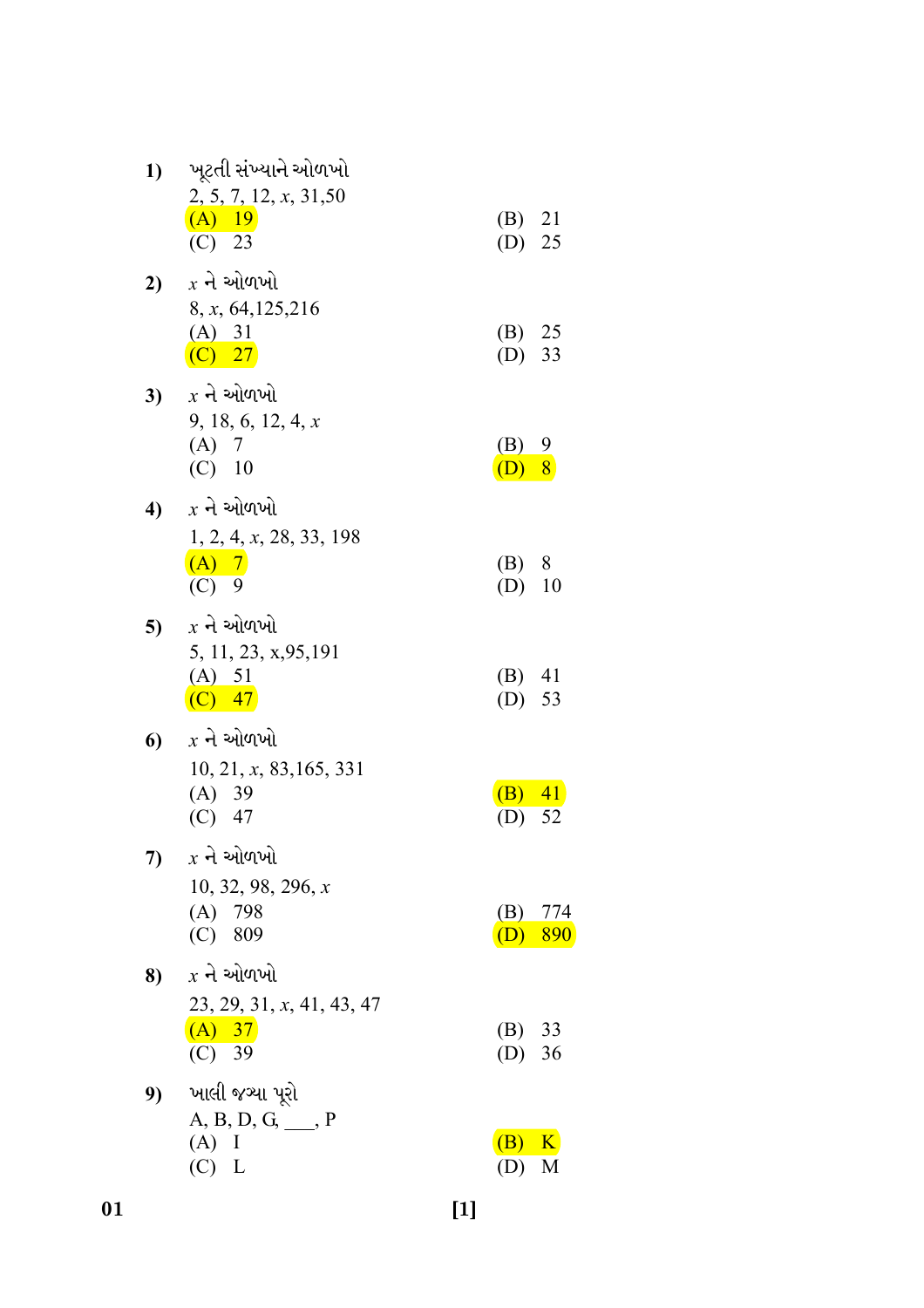| 1) | ખૂટતી સંખ્યાને ઓળખો                 |                      |           |
|----|-------------------------------------|----------------------|-----------|
|    | 2, 5, 7, 12, x, 31, 50<br>$(A)$ 19  | $(B)$ 21             |           |
|    | $(C)$ 23                            | $(D)$ 25             |           |
|    | 2) $x - \lambda$ ઓળખો               |                      |           |
|    | 8, x, 64, 125, 216<br>(A) 31        | (B) 25               |           |
|    | $(C)$ 27                            | $(D)$ 33             |           |
| 3) | $x$ ને ઓળખો                         |                      |           |
|    | 9, 18, 6, 12, 4, x<br>(A) 7         |                      |           |
|    | $(C)$ 10                            | (B) 9<br>$(D)$ 8     |           |
|    | 4) $x \nightharpoonup x$ ઓળખો       |                      |           |
|    | 1, 2, 4, x, 28, 33, 198             |                      |           |
|    | $(A)$ 7<br>$(C)$ 9                  | (B) 8<br>$(D)$ 10    |           |
| 5) | $x$ ને ઓળખો                         |                      |           |
|    | 5, 11, 23, x, 95, 191               |                      |           |
|    | (A) 51<br>$\overline{(C)}$ 47       | $(B)$ 41<br>$(D)$ 53 |           |
| 6  | $x$ ને ઓળખો                         |                      |           |
|    | 10, 21, x, 83, 165, 331             |                      |           |
|    | (A) 39                              | $(B)$ 41             |           |
|    | $(C)$ 47                            | (D)                  | 52        |
| 7) | $x$ ને ઓળખો<br>10, 32, 98, 296, x   |                      |           |
|    | $(A)$ 798                           |                      | $(B)$ 774 |
|    | (C) 809                             | (D)                  | 890       |
| 8) | $x$ ને ઓળખો                         |                      |           |
|    | 23, 29, 31, x, 41, 43, 47<br>(A) 37 | (B) 33               |           |
|    | (C) 39                              | (D) 36               |           |
| 9) | ખાલી જચ્યા પૂરો                     |                      |           |
|    | $A, B, D, G, \_\_\_$ P<br>$(A)$ I   | (B) K                |           |
|    | $(C)$ L                             | (D)                  | M         |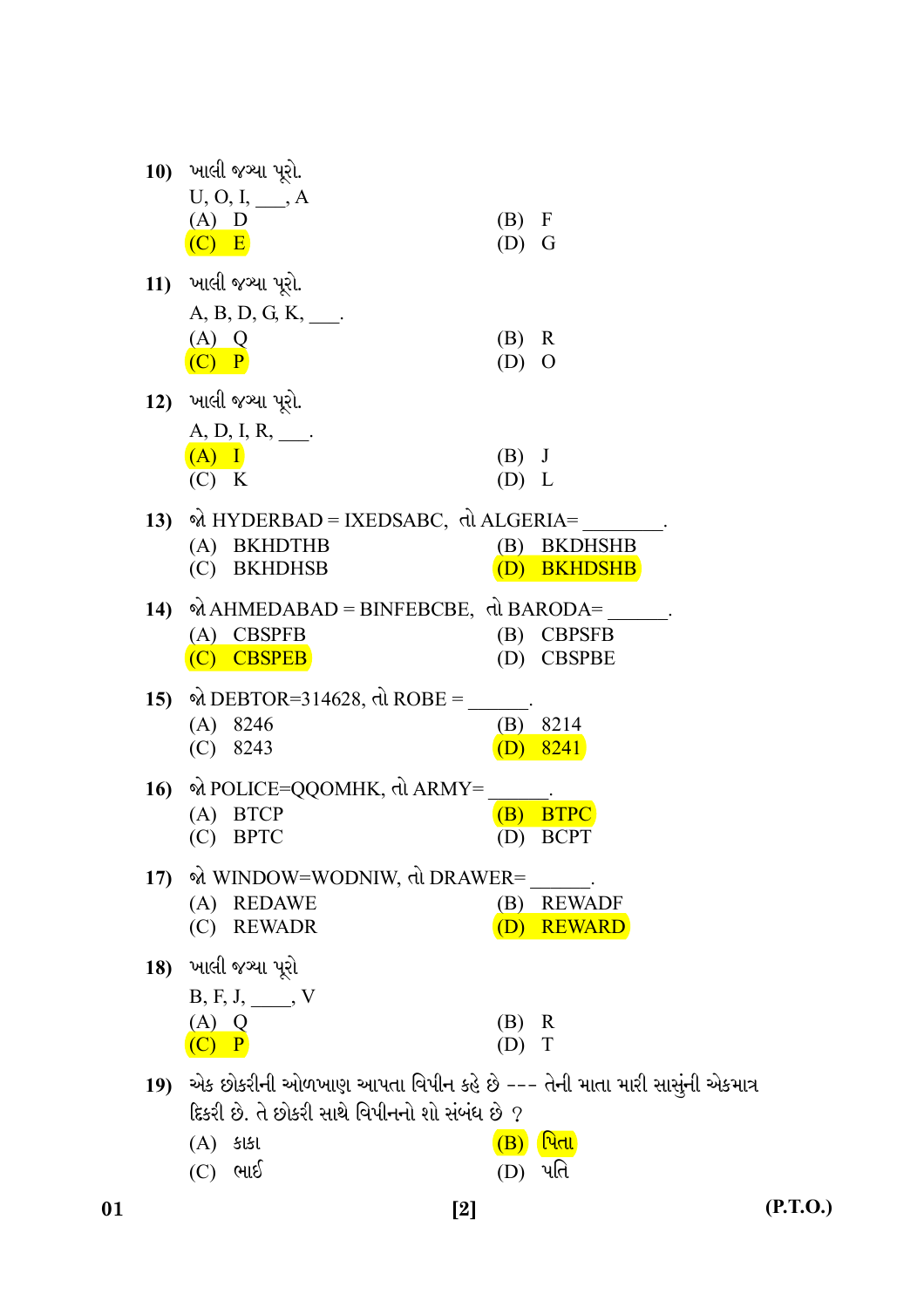|     | 10) ખાલી જગ્યા પૂરો.                                                                                                          |                                    |
|-----|-------------------------------------------------------------------------------------------------------------------------------|------------------------------------|
|     | $U, O, I, \_\_\_A$<br>$(A)$ D                                                                                                 | (B) F                              |
|     | $(C)$ E                                                                                                                       | $(D)$ G                            |
|     | 11) ખાલી જગ્યા પૂરો.                                                                                                          |                                    |
|     | $A, B, D, G, K, \_\_$ .<br>(A) Q                                                                                              | $(B)$ R                            |
|     | $(C)$ $P$                                                                                                                     | $(D)$ O                            |
|     | 12) ખાલી જગ્યા પૂરો.                                                                                                          |                                    |
|     | $A, D, I, R, \_\_$                                                                                                            |                                    |
|     | $(A)$ I<br>(C) K                                                                                                              | $(B)$ J<br>(D) L                   |
|     | 13) % HYDERBAD = IXEDSABC, τλ ALGERIA=                                                                                        |                                    |
|     | (A) BKHDTHB                                                                                                                   | (B) BKDHSHB                        |
|     | (C) BKHDHSB                                                                                                                   | (D) BKHDSHB                        |
|     | 14) ΦΙ ΑΗΜΕDABAD = BINFEBCBE, τι ΒΑRODA=                                                                                      |                                    |
|     | (A) CBSPFB<br>(C) CBSPEB                                                                                                      | <b>CBPSFB</b><br>(B)<br>(D) CBSPBE |
|     |                                                                                                                               |                                    |
|     | 15) $\%$ DEBTOR=314628, dl ROBE =<br>$(A)$ 8246                                                                               | $(B)$ 8214                         |
|     | 8243<br>(C)                                                                                                                   | $(D)$ 8241                         |
|     | 16) એ POLICE=QQOMHK, તો ARMY=                                                                                                 |                                    |
|     | <b>BTCP</b><br>(A)                                                                                                            | $(B)$ BTPC                         |
|     | <b>BPTC</b><br>(C)                                                                                                            | <b>BCPT</b><br>(D)                 |
| 17) | જો WINDOW=WODNIW, તો DRAWER=<br>(A) REDAWE                                                                                    | (B) REWADF                         |
|     | (C) REWADR                                                                                                                    | <b>REWARD</b><br>(D)               |
|     | 18) ખાલી જચ્યા પૂરો                                                                                                           |                                    |
|     | $B, F, J, \_\_\_$ V                                                                                                           |                                    |
|     | $(A)$ Q<br>$\mathbf{P}$                                                                                                       | R<br>(B)<br>(D)<br>T               |
|     |                                                                                                                               |                                    |
| 19) | એક છોકરીની ઓળખાણ આપતા વિપીન કહે છે --- તેની માતા મારી સાસુંની એકમાત્ર<br>દિકરી છે. તે છોકરી સાથે વિપીનનો શો સંબંધ છે <i>?</i> |                                    |
|     | $(A)$ sist                                                                                                                    | <u>(B) પિતા</u>                    |
|     | ભાઈ<br>(C)                                                                                                                    | (D) પતિ                            |
|     |                                                                                                                               |                                    |

 $(P.T.O.)$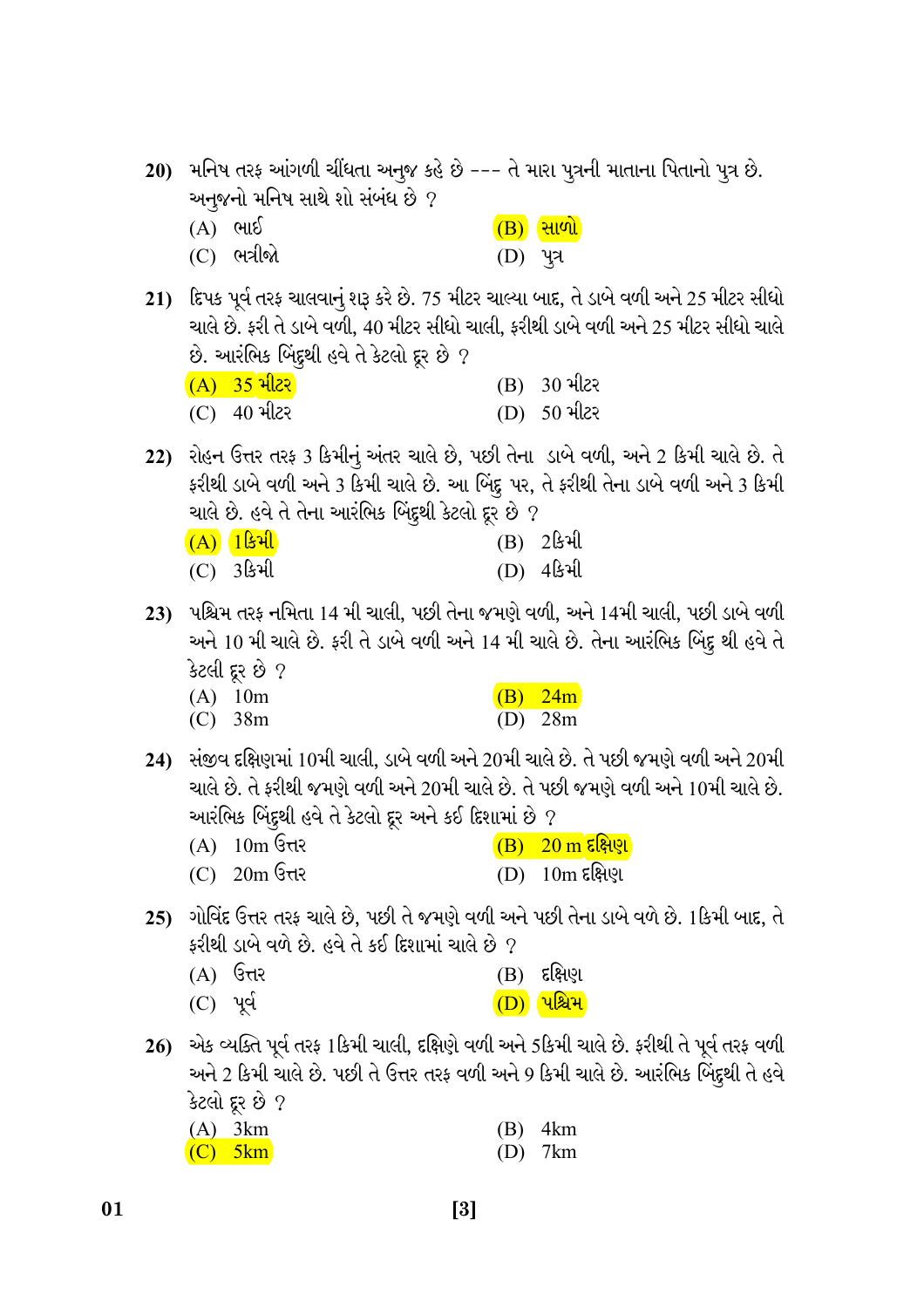|     | અનુજનો મનિષ સાથે શો સંબંધ છે ?                                                            | 20) મનિષ તરફ આંગળી ચીંધતા અનુજ કહે છે --- તે મારા પુત્રની માતાના પિતાનો પુત્ર છે.                                                                                                                                      |
|-----|-------------------------------------------------------------------------------------------|------------------------------------------------------------------------------------------------------------------------------------------------------------------------------------------------------------------------|
|     | ભાઈ<br>(A)<br>$(C)$ ભત્રીજો                                                               | $\overline{(B)}$ સાળો<br>(D) પુત્ર                                                                                                                                                                                     |
|     | છે. આરંભિક બિંદુથી હવે તે કેટલો દૂર છે ?                                                  | 21) દિપક પૂર્વ તરફ ચાલવાનું શરૂ કરે છે. 75 મીટર ચાલ્યા બાદ, તે ડાબે વળી અને 25 મીટર સીધો<br>ચાલે છે. ફરી તે ડાબે વળી, 40 મીટર સીધો ચાલી, ફરીથી ડાબે વળી અને 25 મીટર સીધો ચાલે                                          |
|     | $(A)$ 35 મીટર                                                                             | $(B)$ 30 મીટર                                                                                                                                                                                                          |
|     | $(C)$ 40 મીટર                                                                             | (D) 50 મીટર                                                                                                                                                                                                            |
|     | ચાલે છે. હવે તે તેના આરંભિક બિંદુથી કેટલો દૂર છે ?                                        | 22) રોહન ઉત્તર તરફ 3 કિમીનું અંતર ચાલે છે, પછી તેના ડાબે વળી, અને 2 કિમી ચાલે છે. તે<br>ફરીથી ડાબે વળી અને 3 કિમી ચાલે છે. આ બિંદુ પર, તે ફરીથી તેના ડાબે વળી અને 3 કિમી                                               |
|     | $(A) 1$ डिभी                                                                              | (B) 2કિમી                                                                                                                                                                                                              |
|     | $(C)$ 3 $\mathbb{S}$ əll                                                                  | (D) 454                                                                                                                                                                                                                |
|     | કેટલી દૂર છે ?                                                                            | 23)   પશ્ચિમ તરફ નમિતા 14 મી ચાલી, પછી તેના જમણે વળી, અને 14મી ચાલી, પછી ડાબે વળી<br>અને 10 મી ચાલે છે. ફરી તે ડાબે વળી અને 14 મી ચાલે છે. તેના આરંભિક બિંદુ થી હવે તે                                                 |
|     | $(A)$ 10m<br>$(C)$ 38m                                                                    | (B)<br>24m<br>28m<br>(D)                                                                                                                                                                                               |
|     | આરંભિક બિંદુથી હવે તે કેટલો દૂર અને કઈ દિશામાં છે ?<br>$(A)$ 10m उत्तर<br>$(C)$ 20m उत्तर | 24) સંજીવ દક્ષિણમાં 10મી ચાલી, ડાબે વળી અને 20મી ચાલે છે. તે પછી જમણે વળી અને 20મી<br>ચાલે છે. તે ફરીથી જમણે વળી અને 20મી ચાલે છે. તે પછી જમણે વળી અને 10મી ચાલે છે.<br>$\overline{(B)}$ 20 m દક્ષિણ<br>(D) 10m દક્ષિણ |
| 25) | ફરીથી ડાબે વળે છે. હવે તે કઈ દિશામાં ચાલે છે $\,$                                         | ગોવિંદ ઉત્તર તરફ ચાલે છે, પછી તે જમણે વળી અને પછી તેના ડાબે વળે છે. 1કિમી બાદ, તે                                                                                                                                      |
|     | ઉત્તર<br>(A)                                                                              | દક્ષિણ<br>(B)                                                                                                                                                                                                          |
|     | $(C)$ પૂર્વ                                                                               | <mark>પશ્ચિમ</mark><br>(D)                                                                                                                                                                                             |
| 26) |                                                                                           | એક વ્યક્તિ પૂર્વ તરફ 1કિમી ચાલી, દક્ષિણે વળી અને 5કિમી ચાલે છે. ફરીથી તે પૂર્વ તરફ વળી<br>અને 2 કિમી ચાલે છે. પછી તે ઉત્તર તરફ વળી અને 9 કિમી ચાલે છે. આરંભિક બિંદુથી તે હવે                                           |
|     | કેટલો દૂર છે ?<br>3km<br><u>(A)</u>                                                       | 4km<br>(B)                                                                                                                                                                                                             |
|     | (C)<br>5km                                                                                | 7km<br>(D)                                                                                                                                                                                                             |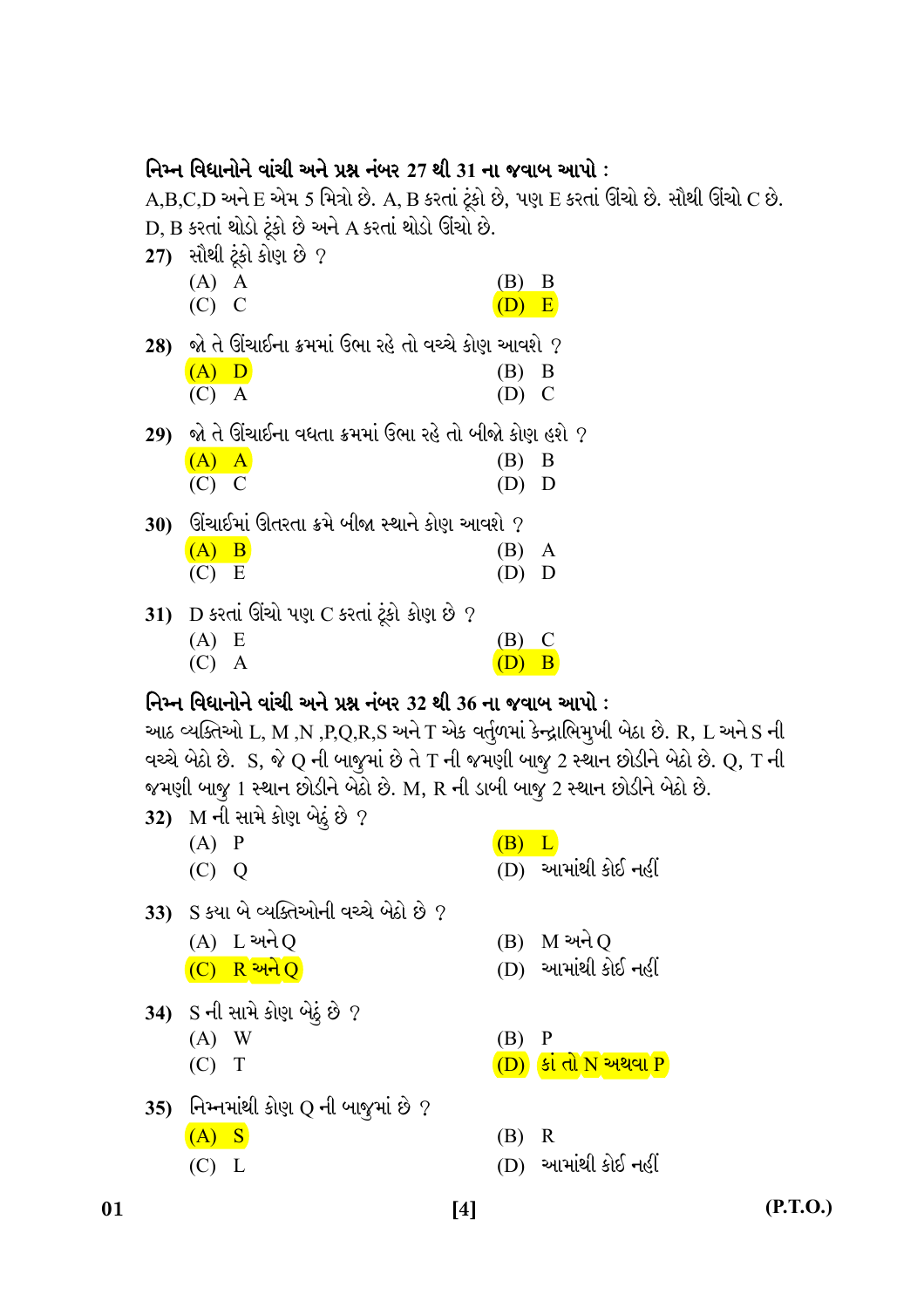## નિમ્ન વિધાનોને વાંચી અને પ્રશ્ન નંબર 27 થી 31 ના જવાબ આપો :

A,B,C,D અને E એમ 5 મિત્રો છે. A, B કરતાં ટૂંકો છે, પણ E કરતાં ઊંચો છે. સૌથી ઊંચો C છે. D, B કરતાં થોડો ટૂંકો છે અને A કરતાં થોડો ઊંચો છે.

- $27)$  સૌથી ટૂંકો કોણ છે ?
	- $(A)$  A (B) B  $(C)$  C  $(D) E$

28) જો તે ઊંચાઈના ક્રમમાં ઉભા રહે તો વચ્ચે કોણ આવશે ?

| $(A)$ D | $(B)$ B |  |
|---------|---------|--|
| $(C)$ A | $(D)$ C |  |

- 29) જો તે ઊંચાઈના વધતા ક્રમમાં ઉભા રહે તો બીજો કોણ હશે ?  $(A)$  A  $(B)$  B
	- $(C)$  C  $(D)$  D

 $30$ ) િ ઊંચાઈમાં ઊતરતા ક્રમે બીજા સ્થાને કોણ આવશે ?  $(A)$  B  $(B)$  A

- $(C) E$  $(D)$  D
- 31) D કરતાં ઊંચો પણ C કરતાં ટૂંકો કોણ છે ?  $(A) E$  $(B)$  C  $(C)$  A  $(D)$  B

## નિમ્ન વિધાનોને વાંચી અને પ્રશ્ન નંબર 32 થી 36 ના જવાબ આપો :

આઠ વ્યક્તિઓ L, M ,N ,P,Q,R,S અને T એક વર્તુળમાં કેન્દ્રાભિમૂખી બેઠા છે. R, L અને S ની વચ્ચે બેઠો છે. S, જે Q ની બાજુમાં છે તે T ની જમણી બાજુ 2 સ્થાન છોડીને બેઠો છે. Q, T ની જમણી બાજૂ 1 સ્થાન છોડીને બેઠો છે. M, R ની ડાબી બાજુ 2 સ્થાન છોડીને બેઠો છે.

- 32) M ની સામે કોણ બેઠું છે ?
	- $(A)$   $P$
	- $(C) Q$
- $(B) L$
- (D) આમાંથી કોઈ નહીં
- 33) S કયા બે વ્યક્તિઓની વચ્ચે બેઠો છે ?
	- $(A) L$  અને O
	- $(C)$  R અને Q
- 34) S ની સામે કોણ બેઠું છે ?
	- $(A)$  W
	- $(C)$  T
	-
- 35) નિમ્નમાંથી કોણ Q ની બાજુમાં છે ?
	- $(A)$  S
	- $(C)$  L
- $(B)$  M અને O
- (D) આમાંથી કોઈ નહીં
- $(B)$  P
- $(D)$  કાં તો N અથવા P
- $(B)$  R
- (D) આમાંથી કોઈ નહીં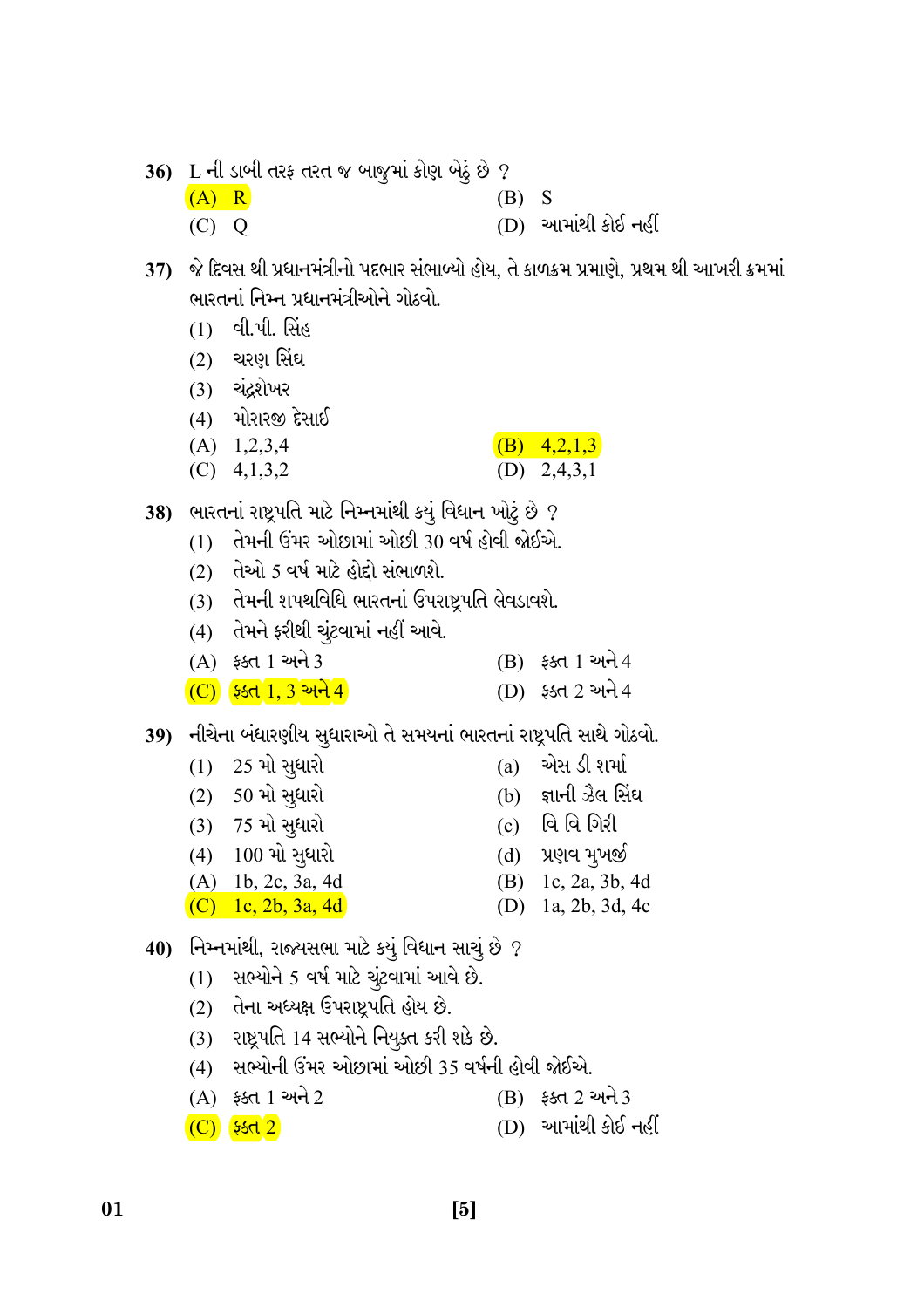|         | 36) L ની ડાબી તરફ તરત જ બાજુમાં કોણ બેઠું છે ? |       |                     |
|---------|------------------------------------------------|-------|---------------------|
| $(A)$ R |                                                | (B) S |                     |
| $(C)$ Q |                                                |       | (D) આમાંથી કોઈ નહીં |

37) જે દિવસ થી પ્રધાનમંત્રીનો પદભાર સંભાબ્યો હોય, તે કાળક્રમ પ્રમાણે, પ્રથમ થી આખરી ક્રમમાં ભારતનાં નિમ્ન પ્રધાનમંત્રીઓને ગોઠવો.

- $(1)$  વી.પી. સિંહ
- <u>(2) ચરણ સિંઘ</u>
- (3) ચંદ્રશેખર
- $(4)$  મોરારજી દેસાઈ
- $(A)$  1,2,3,4 (B)  $4,2,1,3$
- (D)  $2,4,3,1$  $(C)$  4,1,3,2

38) ભારતનાં રાષ્ટ્રપતિ માટે નિમ્નમાંથી કયું વિધાન ખોટું છે ?

- (1) તેમની ઉંમર ઓછામાં ઓછી 30 વર્ષ હોવી જોઈએ.
- (2) તેઓ 5 વર્ષ માટે હોદો સંભાળશે.
- (3) તેમની શપથવિધિ ભારતનાં ઉપરાષ્ટ્રપતિ લેવડાવશે.
- (4) તેમને ફરીથી ચુંટવામાં નહીં આવે.
- (A) ફક્ત 1 અને 3  $(B)$   $55d$  1 અને 4
- $(C)$   $551$   $1, 3$   $21$ (D) 550 2 અને 4

39) નીચેના બંધારણીય સુધારાઓ તે સમયનાં ભારતનાં રાષ્ટ્રપતિ સાથે ગોઠવો.

- $(1)$  25 મો સુધારો
- $(2) 50$  મો સુધારો
- $(3)$  75 મો સુધારો

01

- $(4)$  100 મો સુધારો
- $(A)$  1b, 2c, 3a, 4d
- $(C)$  1c, 2b, 3a, 4d
- 40) નિમ્નમાંથી, રાજ્યસભા માટે કયું વિધાન સાચું છે ?
	- $(1)$  સભ્યોને 5 વર્ષ માટે ચૂંટવામાં આવે છે.
	- $(2)$  તેના અધ્યક્ષ ઉપરાષ્ટ્રપતિ હોય છે.
	- (3) રાષ્ટ્રપતિ 14 સભ્યોને નિયુક્ત કરી શકે છે.
	- (4) સભ્યોની ઉંમર ઓછામાં ઓછી 35 વર્ષની હોવી જોઈએ.
	- (A) ફક્ત 1 અને 2 (B) 55d 2 અને 3
	- $(D)$  આમાંથી કોઈ નહીં  $(C)$   $*st2$
- (a) એસ ડી શર્મા
- જ્ઞાની ઝૈલ સિંઘ  $(b)$
- વિ વિ ગિરી  $(c)$
- પ્રણવ મૂખજી  $(d)$
- (B) 1c, 2a, 3b, 4d
- (D) 1a, 2b, 3d, 4c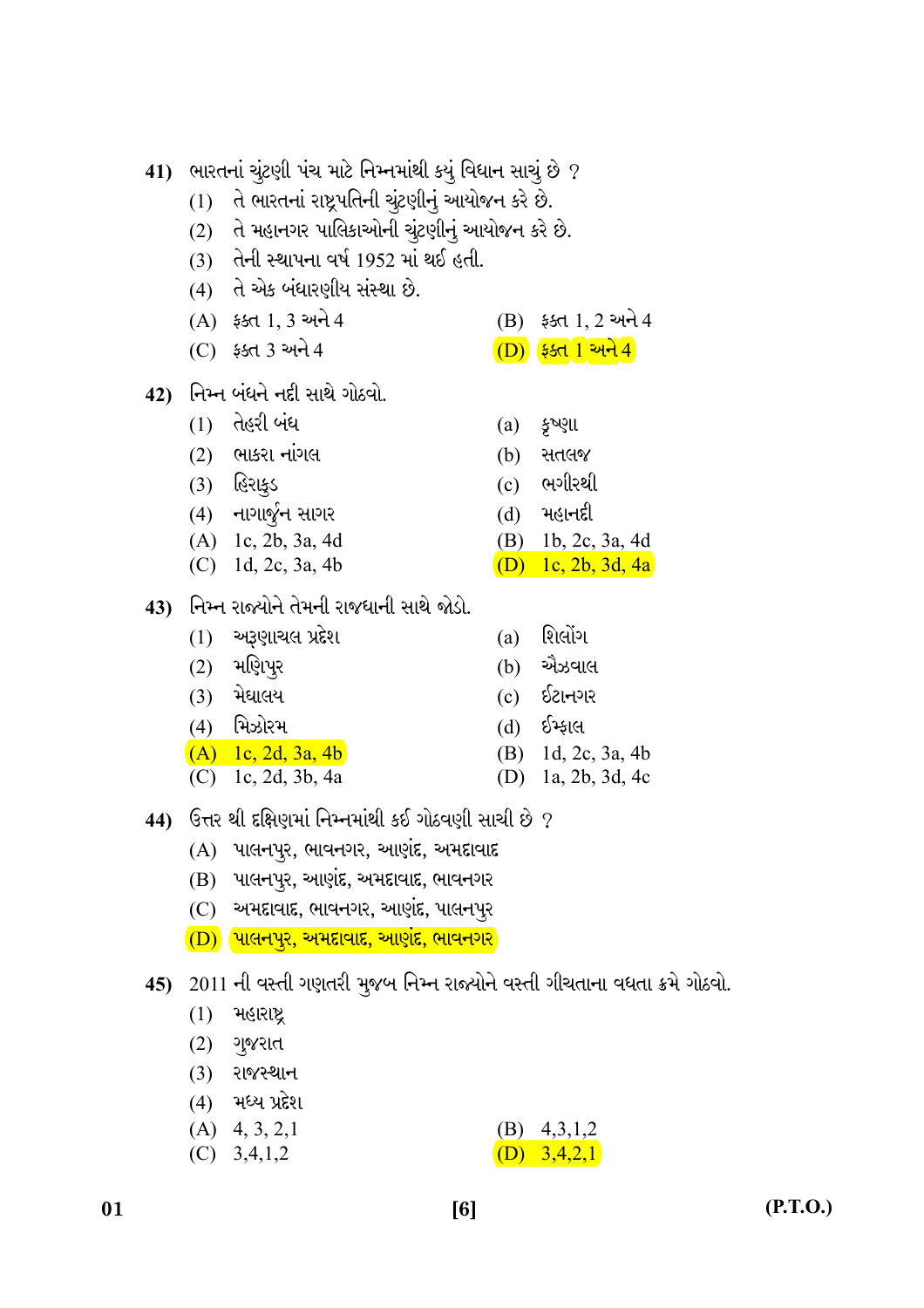$(C)$   $55d$  3 અને 4  $(D)$   $551$   $1$   $21$  $(1)$  તેહરી બંધ  $(a)$   $\xi$ <sup> $\gamma$ </sup> $\zeta$ ll  $(2)$  ભાકરા નાંગલ (b) સતલજ (3) હિરાક્ડ ભગીરથી  $(c)$  $(4)$  નાગાર્જુન સાગર મહાનદી  $(d)$  $(A)$  1c, 2b, 3a, 4d  $(B)$  1b, 2c, 3a, 4d  $(C)$  1d, 2c, 3a, 4b (D) 1c, 2b, 3d, 4a 43) નિમ્ન રાજ્યોને તેમની રાજધાની સાથે જોડો.  $(1)$  અરૂણાચલ પ્રદેશ શિલોંગ  $(a)$ (2) મણિપ<del>ૂ</del>ર એઝવાલ  $(b)$  $(3)$  મેઘાલય ઈટાનગર  $(c)$  $(4)$  મિઝોરમ ઈમ્કાલ  $(d)$  $(A)$  1c, 2d, 3a, 4b  $1d, 2c, 3a, 4b$ (B)  $(C)$  1c, 2d, 3b, 4a (D) 1a, 2b, 3d, 4c  $\,$  44)  $\,$  ઉત્તર થી દક્ષિણમાં નિમ્નમાંથી કઈ ગોઠવણી સાચી છે  $\,$  ?  $(A)$  પાલનપુર, ભાવનગર, આણંદ, અમદાવાદ (B) પાલનપૂર, આણંદ, અમદાવાદ, ભાવનગર  $(C)$  અમદાવાદ, ભાવનગર, આણંદ, પાલનપુર  $\overline{(D)}$  પાલનપુર, અમદાવાદ, આણંદ, ભાવનગર  $(1)$  મહારાષ્ટ્ર  $(2)$  ગુજરાત

42) નિમ્ન બંધને નદી સાથે ગોઠવો.

 $(A)$   $55d$  1, 3 અને 4

41) ભારતનાં ચુંટણી પંચ માટે નિમ્નમાંથી કયું વિધાન સાચું છે ? (1) તે ભારતનાં રાષ્ટ્રપતિની ચૂંટણીનું આયોજન કરે છે.

(3) તેની સ્થાપના વર્ષ 1952 માં થઈ હતી.

(4) તે એક બંધારણીય સંસ્થા છે.

(2) તે મહાનગર પાલિકાઓની ચૂંટણીનું આયોજન કરે છે.

 $(B)$   $55d$  1, 2 અને 4

- 45) 2011 ની વસ્તી ગણતરી મુજબ નિમ્ન રાજ્યોને વસ્તી ગીચતાના વધતા ક્રમે ગોઠવો.
	- **(3) રાજસ્થાન**
	- $(4)$  મધ્ય પ્રદેશ
	- $(A)$  4, 3, 2, 1  $(B)$  4,3,1,2
	- $(C)$  3,4,1,2 (D)  $3,4,2,1$
- 01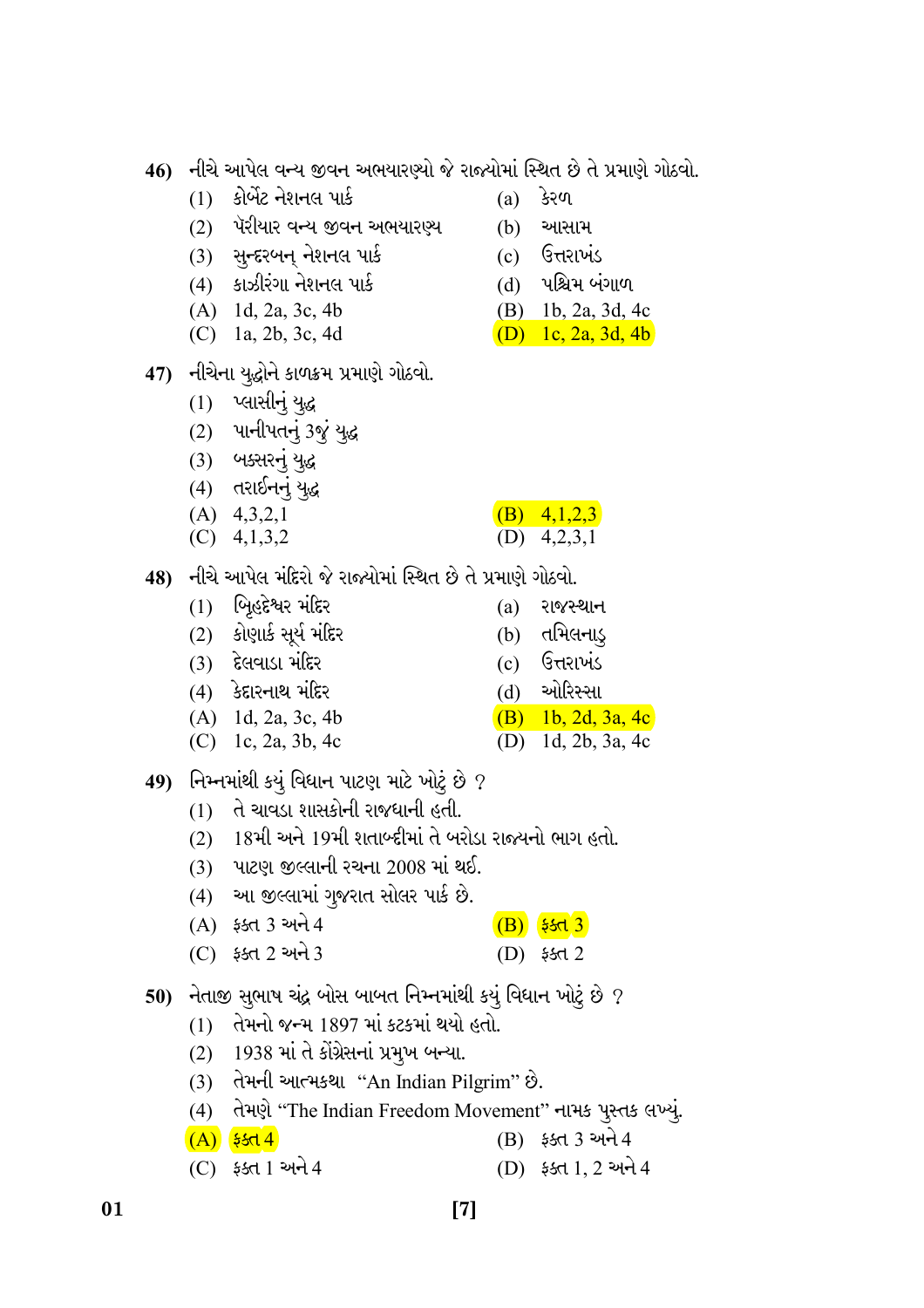- નીચે આપેલ વન્ય જીવન અભયારણ્યો જે રાજ્યોમાં સ્થિત છે તે પ્રમાણે ગોઠવો. 46)
	- $(1)$  કોર્બેટ નેશનલ પાર્ક
	- (2) પૅરીયાર વન્ય જીવન અભયારણ્ય
	- $(3)$  સુન્દરબન્ નેશનલ પાર્ક
	- $(4)$  કાઝીરંગા નેશનલ પાર્ક
	- $(A)$  1d, 2a, 3c, 4b
	- (C) 1a, 2b, 3c, 4d
- 47) નીચેના યુદ્ધોને કાળક્રમ પ્રમાણે ગોઠવો.
	- $(1)$  પ્લાસીનું યુદ્ધ
	- $(2)$  ਪાનીપતનું 3જું યુદ્ધ
	- $(3)$  બક્સરનું યુદ્ધ
	- $(4)$  તરાઈનનું યુદ્ધ
	- $(A)$  4,3,2,1
	- $(C)$  4,1,3,2
- 48) નીચે આપેલ મંદિરો જે રાજ્યોમાં સ્થિત છે તે પ્રમાણે ગોઠવો.
	- $(1)$  બિહદેશ્વર મંદિર  $(a)$  રાજસ્થાન  $(2)$  કોણાર્ક સૂર્ય મંદિર  $(b)$ તતમિલનાડ્  $(3)$  દેલવાડા મંદિર ઉત્તરાખંડ  $(c)$  $(4)$  કેદારનાથ મંદિર ઓરિસ્સા  $(d)$
	- $(A)$  1d, 2a, 3c, 4b (B) 1b, 2d, 3a, 4c
	- (C) 1c, 2a, 3b, 4c
- 49) નિમ્નમાંથી કયું વિધાન પાટણ માટે ખોટું છે ?
	- $(1)$  તે ચાવડા શાસકોની રાજધાની હતી.
	- (2) 18મી અને 19મી શતાબ્દીમાં તે બરોડા રાજ્યનો ભાગ હતો.
	- $(3)$  પાટણ જીલ્લાની રચના 2008 માં થઈ.
	- (4) આ જીલ્લામાં ગુજરાત સોલર પાર્ક છે.
	- (A) ફક્ત 3 અને 4  $(B)$   $5513$
	- $(C)$  55d 2 અને 3  $(D)$   $$5d$  2
- 50) નેતાજી સુભાષ ચંદ્ર બોસ બાબત નિમ્નમાંથી કયું વિધાન ખોટું છે ?
	- (1) તેમનો જન્મ 1897 માં કટકમાં થયો હતો.
	- (2) 1938 માં તે કોંગ્રેસનાં પ્રમુખ બન્યા.

01

- (3) तेमनी આત્મકથા "An Indian Pilgrim" છે.
- (4) તેમણે "The Indian Freedom Movement" નામક પૂસ્તક લખ્યું.
- $(B)$   $55d$  3 અને 4  $(A)$   $5514$
- (D) ફક્ત 1, 2 અને 4  $(C)$  ફક્ત 1 અને 4
- $(a)$  *કેરળ*
- $(b)$ આસામ
- $(c)$  ઉત્તરાખંડ

(B)  $4,1,2,3$  $(D)$  4,2,3,1

(D) 1d, 2b, 3a, 4c

- (d) પશ્ચિમ બંગાળ
- (B) 1b, 2a, 3d, 4c
- (D) 1c, 2a, 3d, 4b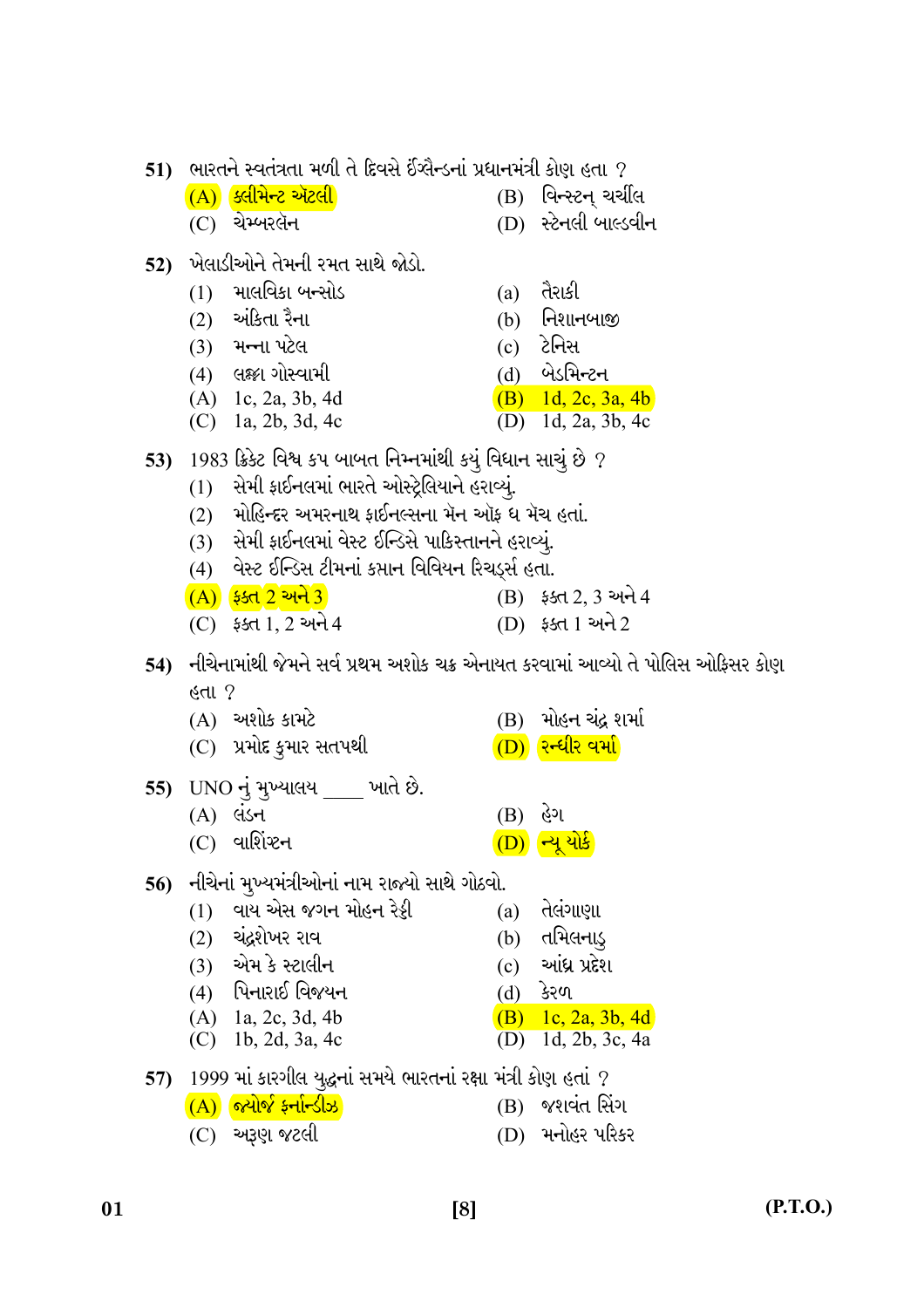|     | $\mathbf{51}$ ) ભારતને સ્વતંત્રતા મળી તે દિવસે ઈંગ્લૈન્ડનાં પ્રધાનમંત્રી કોણ હતા ? |                                                                                     |     |                                            |  |
|-----|------------------------------------------------------------------------------------|-------------------------------------------------------------------------------------|-----|--------------------------------------------|--|
|     |                                                                                    | $\overline{(A)}$ ક્લીમેન્ટ ઍટલી                                                     |     | (B) વિન્સ્ટન્ ચર્ચીલ                       |  |
|     |                                                                                    | (C) ચેમ્બરલૅન                                                                       |     | (D) સ્ટેનલી બાલ્ડવીન                       |  |
| 52) |                                                                                    | ખેલાડીઓને તેમની રમત સાથે જોડો.                                                      |     |                                            |  |
|     |                                                                                    | $(1)$ માલવિકા બન્સોડ                                                                | (a) | તૈરાકી                                     |  |
|     |                                                                                    | (2) અંકિતા રૈના                                                                     |     | $(b)$ નિશાનબાજી                            |  |
|     |                                                                                    | (3) મન્ના પટેલ                                                                      |     | (c) ટેનિસ                                  |  |
|     |                                                                                    | (4) લક્ષ્ટા ગોસ્વામી                                                                |     | (d) બેડમિન્ટન                              |  |
|     |                                                                                    | $(A)$ 1c, 2a, 3b, 4d                                                                |     | $(B)$ 1d, 2c, 3a, 4b                       |  |
|     |                                                                                    | (C) 1a, 2b, 3d, 4c                                                                  |     | $(D)$ 1d, 2a, 3b, 4c                       |  |
|     |                                                                                    | 53) $\,$ 1983 ક્રિકેટ વિશ્વ કપ બાબત નિમ્નમાંથી કયું વિધાન સાચું છે $\,$ ?           |     |                                            |  |
|     |                                                                                    | (1) સેમી ફાઈનલમાં ભારતે ઓસ્ટ્રેલિયાને હરાવ્યું.                                     |     |                                            |  |
|     |                                                                                    | (2) મોહિન્દર અમરનાથ ફાઈનલ્સના મૅન ઑફ ધ મૅચ હતાં.                                    |     |                                            |  |
|     |                                                                                    | (3)   સેમી ફાઈનલમાં વેસ્ટ ઈન્ડિસે પાકિસ્તાનને હરાવ્યું.                             |     |                                            |  |
|     |                                                                                    | (4) વેસ્ટ ઈન્ડિસ ટીમનાં કપ્તાન વિવિયન રિચર્ડ્સ હતા.                                 |     |                                            |  |
|     |                                                                                    | <u>(A) ફ્ક્ત 2 અને 3</u>                                                            |     | $(B)$ $55d$ , $2, 3$ અને 4                 |  |
|     |                                                                                    | $(C)$ ફક્ત 1, 2 અને 4                                                               |     | (D) ફક્ત 1 અને 2                           |  |
|     |                                                                                    | 54)   નીચેનામાંથી જેમને સર્વ પ્રથમ અશોક ચક્ર એનાયત કરવામાં આવ્યો તે પોલિસ ઓફિસર કોણ |     |                                            |  |
|     | હતા ?                                                                              |                                                                                     |     |                                            |  |
|     |                                                                                    | $(A)$ અશોક કામટે                                                                    |     | (B) મોહન ચંદ્ર શર્મા                       |  |
|     |                                                                                    | (C) પ્રમોદ કુમાર સતપથી                                                              |     | (D) રન્ધીર વર્મા                           |  |
| 55) |                                                                                    | UNO નું મુખ્યાલય ____ ખાતે છે.                                                      |     |                                            |  |
|     |                                                                                    | $(A)$ લડન                                                                           | (B) | હેગ                                        |  |
|     |                                                                                    | (C) વાર્શિષ્ટન                                                                      |     | <mark>(D)</mark> ન્યૂ યોર્ક                |  |
|     |                                                                                    |                                                                                     |     |                                            |  |
| 56) |                                                                                    | નીચેનાં મુખ્યમંત્રીઓનાં નામ રાજ્યો સાથે ગોઠવો.                                      |     |                                            |  |
|     | (1)                                                                                | વાય એસ જગન મોહન રેડ્ડી                                                              | (a) | તેલંગાણા                                   |  |
|     | (2)                                                                                | ચંદ્રશેખર રાવ                                                                       | (b) | તમિલનાડ્                                   |  |
|     | (3)                                                                                | એમ કે સ્ટાલીન                                                                       | (c) | આંધ્ર પ્રદેશ                               |  |
|     |                                                                                    | (4) પિનારાઈ વિજયન                                                                   |     | (d) કેરળ                                   |  |
|     |                                                                                    | $(A)$ 1a, 2c, 3d, 4b<br>(C) 1b, 2d, 3a, 4c                                          |     | $(B)$ 1c, 2a, 3b, 4d<br>(D) 1d, 2b, 3c, 4a |  |
|     |                                                                                    |                                                                                     |     |                                            |  |
| 57) |                                                                                    | 1999 માં કારગીલ યુદ્ધનાં સમયે ભારતનાં રક્ષા મંત્રી કોણ હતાં ?                       |     |                                            |  |
|     |                                                                                    | $\overline{A}$ ) જ્યોર્જ ફર્નાન્ડીઝ                                                 | (B) | જશવંત સિંગ                                 |  |
|     |                                                                                    | (C) અરૂણ જટલી                                                                       |     | (D) મનોહર પરિકર                            |  |

 $[8]$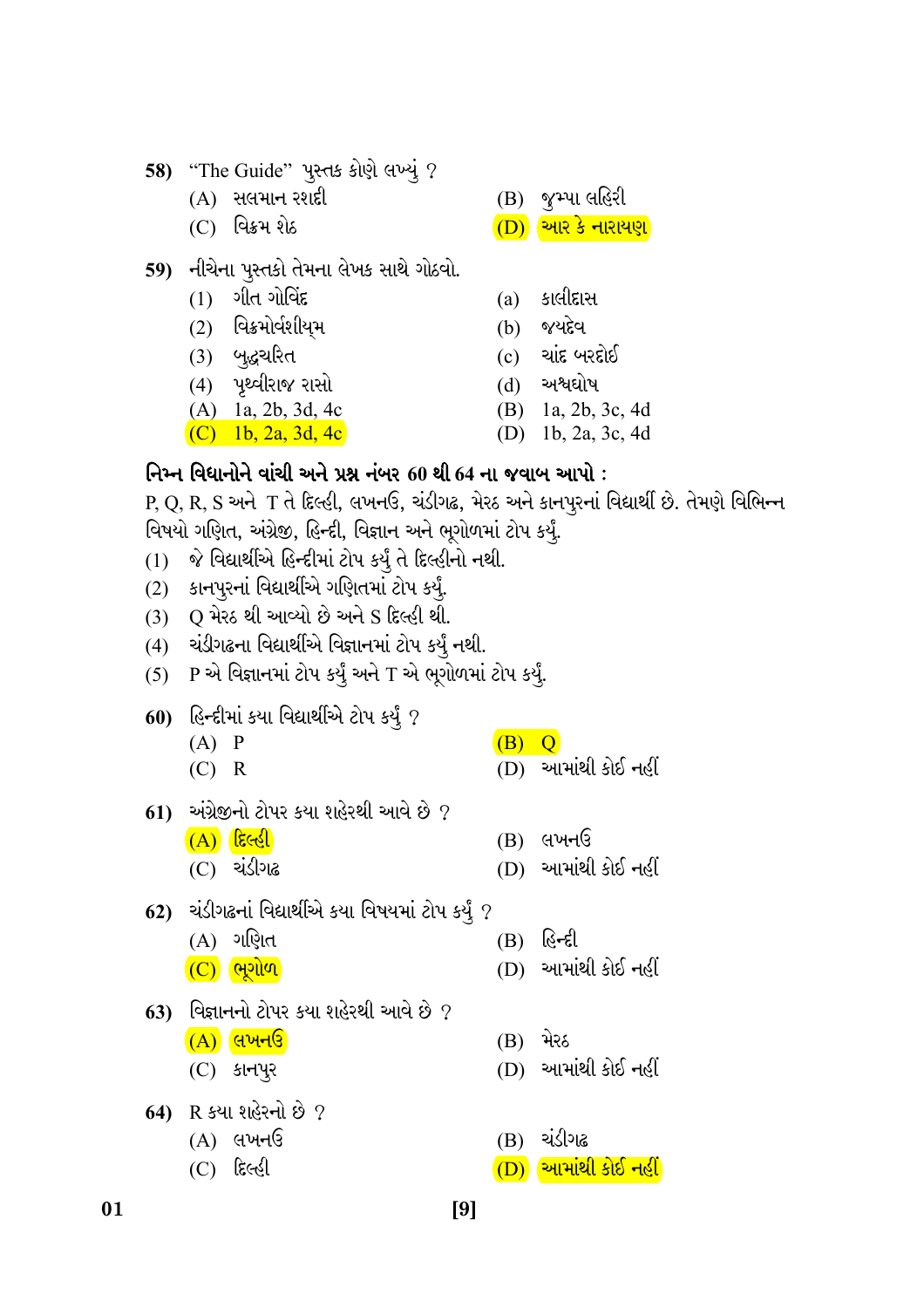- 58) "The Guide" પુસ્તક કોણે લખ્યું ?
	- $(A)$  સલમાન રશદી
	- $(C)$  વિક્રમ શેઠ
- 59) નીચેના પુસ્તકો તેમના લેખક સાથે ગોઠવો.
	- $(1)$  ગીત ગોવિંદ
	- $(2)$  વિક્રમોર્વશીયમ
	- (3) બુદ્ધચરિત
	- (4) પૃથ્વીરાજ રાસો
	- $(A)$  1a, 2b, 3d, 4c

(C) 1b, 2a, 3d, 4c

 $(B)$  જુમ્પા લહિરી

- $\overline{(\mathrm{D})}$  આર કે નારાયણ
- $(a)$  કાલીદાસ
- જયદેવ  $(b)$
- ચાંદ બરદોઈ  $(c)$
- અશ્વઘોષ  $(d)$
- (B) 1a, 2b, 3c, 4d
- (D) 1b, 2a, 3c, 4d

## નિમ્ન વિધાનોને વાંચી અને પ્રશ્ન નંબર 60 થી 64 ના જવાબ આપો :

 $P, Q, R, S$  અને T તે દિલ્હી, લખનઉ, ચંડીગઢ, મેરઠ અને કાનપૂરનાં વિદ્યાર્થી છે. તેમણે વિભિન્ન વિષયો ગણિત, અંગ્રેજી, હિન્દી, વિજ્ઞાન અને ભૂગોળમાં ટોપ કર્યું.

- જે વિદ્યાર્થીએ હિન્દીમાં ટોપ કર્યું તે દિલ્હીનો નથી.  $(1)$
- કાનપુરનાં વિદ્યાર્થીએ ગણિતમાં ટોપ કર્યું.  $(2)$
- (3) Q મેરઠ થી આવ્યો છે અને S દિલ્હી થી.
- (4) ચંડીગઢના વિદ્યાર્થીએ વિજ્ઞાનમાં ટોપ કર્યું નથી.
- (5) P એ વિજ્ઞાનમાં ટોપ કર્યું અને T એ ભૂગોળમાં ટોપ કર્યું.
- **60) હિન્દી**માં કયા વિદ્યાર્થીએ ટોપ કર્યું ?
	- $(B)$  Q  $(A)$   $P$  $(D)$  આમાંથી કોઈ નહીં  $(C)$  R
- $61$ ) અંગ્રેજીનો ટોપર કયા શહેરથી આવે છે ?
	- $(A)$  દિલ્હી  $(B)$  લખનઉ  $(D)$  આમાંથી કોઈ નહીં
		- $(C)$  ચંડીગઢ
- 62) ચંડીગઢનાં વિદ્યાર્થીએ કયા વિષયમાં ટોપ કર્યું ?
	- $(B)$  હિન્દી

 $[9]$ 

- $(D)$  આમાંથી કોઈ નહીં
- 63) વિજ્ઞાનનો ટોપર કયા શહેરથી આવે છે  $\it 7$ 
	- $(A)$  લખનઉ

 $(A)$  ગણિત

 $(C)$  ભૂગોળ

- $(C)$  કાનપૂર
- 64) R કયા શહેરનો છે ?
	- $(A)$  લખનઉ
	- $(C)$  દિલ્હી

01

- (B) મેરઠ
- (D) આમાંથી કોઈ નહીં
- (B) ચંડીગઢ
- $\overline{D}$ ) આમાંથી કોઈ નહીં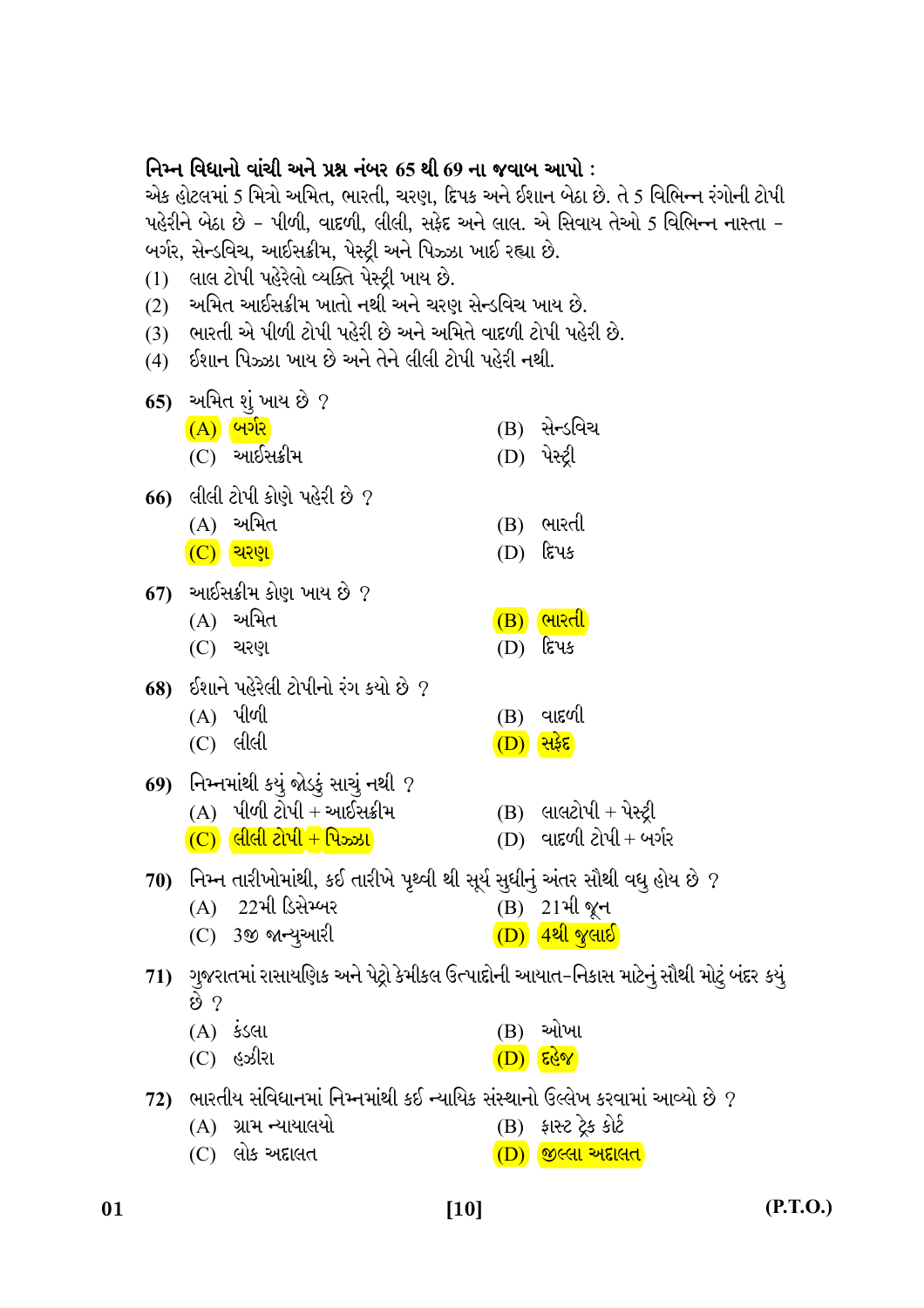| (1)<br>(2) | નિમ્ન વિધાનો વાંચી અને પ્રશ્ન નંબર 65 થી 69 ના જવાબ આપો :<br>એક હોટલમાં 5 મિત્રો અમિત, ભારતી, ચરણ, દિપક અને ઈશાન બેઠા છે. તે 5 વિભિન્ન રંગોની ટોપી<br>પહેરીને બેઠા છે – પીળી, વાદળી, લીલી, સફેદ અને લાલ. એ સિવાય તેઓ 5 વિભિન્ન નાસ્તા –<br>બર્ગર, સેન્ડવિચ, આઈસક્રીમ, પેસ્ટ્રી અને પિઝ્ઝા ખાઈ રહ્યા છે.<br>લાલ ટોપી પહેરેલો વ્યક્તિ પેસ્ટ્રી ખાય છે.<br>્અમિત આઈસક્રીમ ખાતો નથી અને ચરણ સેન્ડવિચ ખાય છે. |                                        |                                                    |  |  |  |
|------------|----------------------------------------------------------------------------------------------------------------------------------------------------------------------------------------------------------------------------------------------------------------------------------------------------------------------------------------------------------------------------------------------------------|----------------------------------------|----------------------------------------------------|--|--|--|
|            | (3) ભારતી એ પીળી ટોપી પહેરી છે અને અમિતે વાદળી ટોપી પહેરી છે.<br>(4) ઈશાન પિઝ્ઝા ખાય છે અને તેને લીલી ટોપી પહેરી નથી.                                                                                                                                                                                                                                                                                    |                                        |                                                    |  |  |  |
|            | 65) અમિત શું ખાય છે ?<br>$\overline{(A)}$ બર્ગર<br>$(C)$ આઈસક્રીમ                                                                                                                                                                                                                                                                                                                                        |                                        | (B) સેન્ડવિચ<br>(D) પેસ્ટ્રી                       |  |  |  |
|            | 66) લીલી ટોપી કોણે પહેરી છે ?<br>$(A)$ અમિત<br>$(C)$ থি?                                                                                                                                                                                                                                                                                                                                                 | (B)<br>(D)                             | ભારતી<br>દિપક                                      |  |  |  |
|            | 67) આઈસક્રીમ કોણ ખાય છે ?<br>$(A)$ અમિત<br>$(C)$ ચરણ                                                                                                                                                                                                                                                                                                                                                     | (D)                                    | $\overline{(B)}$ ભારતી<br>દિપક                     |  |  |  |
|            | 68) ઈશાને પહેરેલી ટોપીનો રંગ કયો છે ?<br>$(A)$ પીળી<br>$(C)$ લીલી                                                                                                                                                                                                                                                                                                                                        | (B)<br>$\overline{(\mathrm{D})}$ सिईंह | વાદળી                                              |  |  |  |
|            | 69) નિમ્નમાંથી કયું જોડકું સાચું નથી ?<br>$(A)$ પીળી ટોપી + આઈસક્રીમ<br>$(C)$ લીલી ટોપી + પિઝ્ઝા                                                                                                                                                                                                                                                                                                         |                                        | $(B)$ લાલટોપી + પેસ્ટ્રી<br>(D) વાદળી ટોપી + બર્ગર |  |  |  |
| 70)        | નિમ્ન તારીખોમાંથી, કઈ તારીખે પૃથ્વી થી સૂર્ય સુધીનું અંતર સૌથી વધુ હોય છે ?<br>્22મી ડિસેમ્બર<br>(A)<br>$(C)$ 3જી જાન્યુઆરી                                                                                                                                                                                                                                                                              |                                        | (B) 21 મી જૂન<br>(D) 4થી જુલાઈ                     |  |  |  |
|            | 71)   ગુજરાતમાં રાસાયણિક અને પેટ્રો કેમીકલ ઉત્પાદોની આયાત-નિકાસ માટેનું સૌથી મોટું બંદર કયું<br>છે ?<br>(A) કડલા                                                                                                                                                                                                                                                                                         | (B)                                    | ઓખા                                                |  |  |  |
| 72)        | હઝીરા<br>(C)<br>ભારતીય સંવિધાનમાં નિમ્નમાંથી કઈ ન્યાયિક સંસ્થાનો ઉલ્લેખ કરવામાં આવ્યો છે ?<br>(A) ગ્રામ ન્યાયાલયો                                                                                                                                                                                                                                                                                        | $(D)$ हि $\sqrt{8}$                    | (B) ફાસ્ટ ટ્રેક કોર્ટ                              |  |  |  |

 $(C)$  લોક અદ્દાલત (D) <mark>જીલ્લા અદાલત</mark>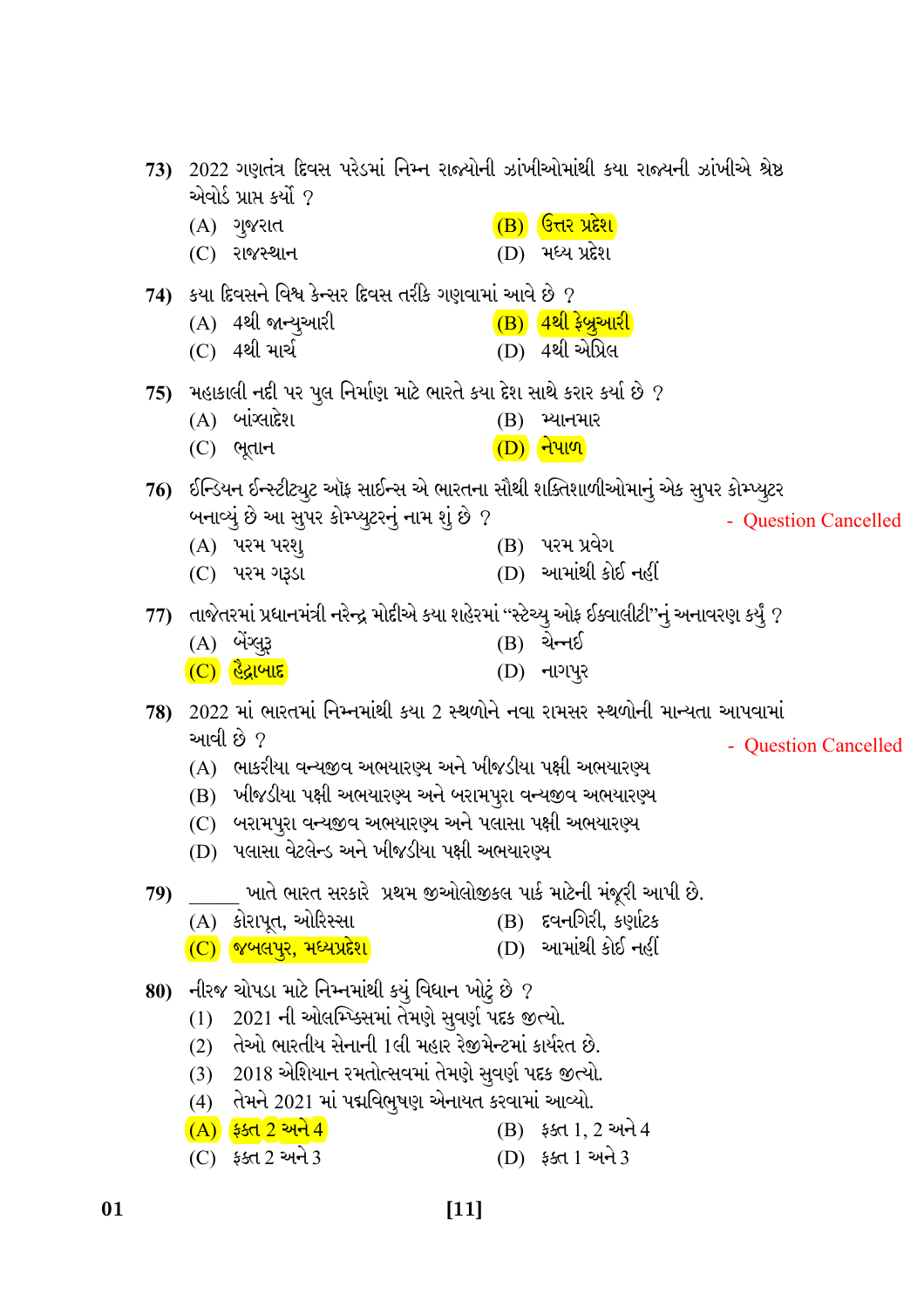73) 2022 ગણતંત્ર દિવસ પરેડમાં નિમ્ન રાજ્યોની ઝાંખીઓમાંથી કયા રાજ્યની ઝાંખીએ શ્રેષ્ઠ એવોર્ડ પ્રાપ્ત કર્યો ?  $\overline{(B)}$  उत्तर प्रदेश  $(A)$  ગુજરાત  $(C)$  રાજસ્થાન  $(D)$  મધ્ય પ્રદેશ  $74$ ) કયા દિવસને વિશ્વ કેન્સર દિવસ તરીકે ગણવામાં આવે છે ? (A) 4થી જાન્યુઆરી  $\left(\mathrm{\mathbf{B}}\right)$   $\left(4$ થી ફેબ્રુઆરી (C) 4થી માર્ચ (D) 4થી એપ્રિલ 75) મહાકાલી નદી પર પુલ નિર્માણ માટે ભારતે કયા દેશ સાથે કરાર કર્યા છે ?  $(A)$  બાંગ્લાદેશ  $(B)$  મ્યાનમાર  $(C)$  ભૂતાન  $(D)$  નેપાળ 76) ઈન્ડિયન ઈન્સ્ટીટ્યૂટ ઑફ સાઈન્સ એ ભારતના સૌથી શક્તિશાળીઓમાનું એક સૂપર કોમ્પ્યૂટર બનાવ્યું છે આ સુપર કોમ્પ્યૂટરનું નામ શું છે ? - Question Cancelled (B) પરમ પ્રવેગ (A) પરમ પરશ્  $(D)$  આમાંથી કોઈ નહીં (C) પરમ ગરૂડા 77) તાજેતરમાં પ્રધાનમંત્રી નરેન્દ્ર મોદીએ કયા શહેરમાં ''સ્ટેચ્યુ ઓફ ઈક્વાલીટી''નું અનાવરણ કર્યું ?  $(B)$  ચેન્નઈ  $(A)$  બેંગ્લુરૂ  $(C)$  હૈદ્રાબાદ  $(D)$  નાગપૂર  $78$ ) 2022 માં ભારતમાં નિમ્નમાંથી કયા 2 સ્થળોને નવા રામસર સ્થળોની માન્યતા આપવામાં આવી છે ? - Question Cancelled  $(A)$  ભાકરીયા વન્યજીવ અભયારણ્ય અને ખીજડીયા પક્ષી અભયારણ્ય (B) ખીજડીયા પક્ષી અભયારણ્ય અને બરામપુરા વન્યજીવ અભયારણ્ય (C) બરામપુરા વન્યજીવ અભયારણ્ય અને પલાસા પક્ષી અભયારણ્ય (D) પલાસા વેટલેન્ડ અને ખીજડીયા પક્ષી અભયારણ્ય \_ ખાતે ભારત સરકારે પ્રથમ જીઓલોજીકલ પાર્ક માટેની મંજૂરી આપી છે. 79) (A) કોરાપૂત, ઓરિસ્સા (B) દવનગિરી, કર્ણાટક  $(C)$  જબલપુર, મધ્યપ્રદેશ  $(D)$  આમાંથી કોઈ નહીં 80) નીરજ ચોપડા માટે નિમ્નમાંથી કયું વિધાન ખોટું છે ? (1) 2021 ની ઓલમ્પ્ક્સિમાં તેમણે સવર્ણ પદક જીત્યો. (2) તેઓ ભારતીય સેનાની 1લી મહાર રેજીમેન્ટમાં કાર્યરત છે. (3) 2018 એશિયાન રમતોત્સવમાં તેમણે સૂવર્ણ પદક જીત્યો. (4) તેમને 2021 માં પદ્મવિભૂષણ એનાયત કરવામાં આવ્યો.  $(A)$   $$5d 2$  અને 4  $(B)$  ફક્ત 1, 2 અને 4  $(C)$   $55d$  2 અને 3  $(D)$  ફક્ત 1 અને 3

 $[11]$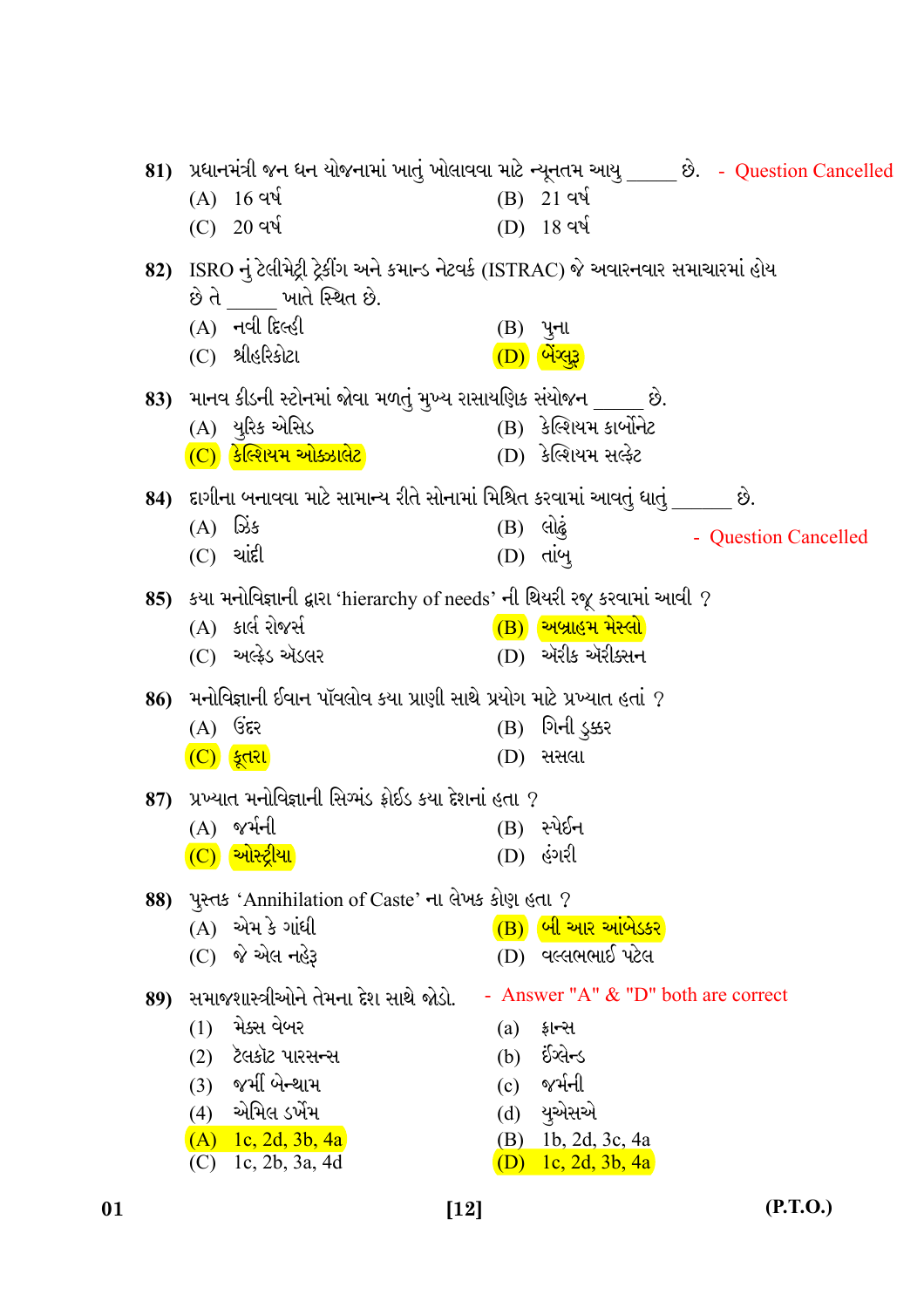|     |                                                                                    |                   | 81) પ્રધાનમંત્રી જન ધન યોજનામાં ખાતું ખોલાવવા માટે ન્યૂનતમ આયુ ____ છે. - Question Cancelled |
|-----|------------------------------------------------------------------------------------|-------------------|----------------------------------------------------------------------------------------------|
|     | $(A) 16$ qu                                                                        |                   | $(B)$ 21 વર્ષ                                                                                |
|     | $(C)$ 20 વર્ષ                                                                      |                   | $(D)$ 18 વર્ષ                                                                                |
| 82) | ISRO નું ટેલીમેટ્રી ટ્રેકીંગ અને કમાન્ડ નેટવર્ક (ISTRAC) જે અવારનવાર સમાચારમાં હોય |                   |                                                                                              |
|     | છે તે ખાતે સ્થિત છે.                                                               |                   |                                                                                              |
|     | $(A)$ નવી દિલ્હી                                                                   |                   | $(B)$ પુના                                                                                   |
|     | $(C)$ શ્રીહરિકોટા                                                                  |                   | <u>(D) બેંગ્લુરૂ</u>                                                                         |
|     | 83) માનવ કીડની સ્ટોનમાં જોવા મળતું મુખ્ય રાસાયણિક સંયોજન ____ છે.                  |                   |                                                                                              |
|     | (A) યુરિક એસિડ                                                                     |                   | (B) કેલ્શિયમ કાર્બોનેટ                                                                       |
|     | $(C)$ કેલ્શિયમ ઓક્ઝાલેટ $\,$                                                       |                   | ___(D) કેલ્શિયમ સર્લ્ફેટ                                                                     |
| 84) | . દાગીના બનાવવા માટે સામાન્ય રીતે સોનામાં મિશ્રિત કરવામાં આવતું ધાતું ______ છે.   |                   |                                                                                              |
|     | $(A)$ $\overrightarrow{\omega}$ s                                                  |                   | $(B)$ લોઢું<br>- Question Cancelled                                                          |
|     | $(C)$ <i>isl</i>                                                                   |                   | (D) તાબૂ                                                                                     |
|     | 85) કયા મનોવિજ્ઞાની દ્વારા 'hierarchy of needs' ની થિયરી રજૂ કરવામાં આવી ?         |                   |                                                                                              |
|     | (A) કાર્લ રોજર્સ                                                                   |                   | $\overline{(B)}$ અબ્રાહમ મેસ્લો                                                              |
|     | $(C)$ અલ્ફ્રેડ ઍડલર                                                                |                   | $(D)$ ઍરીક ઍરીક્સન                                                                           |
|     | 86) મનોવિજ્ઞાની ઈવાન પૉવલોવ કયા પ્રાણી સાથે પ્રયોગ માટે પ્રખ્યાત હતાં ?            |                   |                                                                                              |
|     | $(A)$ (3 $\epsilon$                                                                |                   | (B) ગિની ડ <del>્રક</del> ર                                                                  |
|     | $(C)$ (हूतरा                                                                       | (D)               | સસલા                                                                                         |
| 87) | પ્રખ્યાત મનોવિજ્ઞાની સિગ્મંડ ફ્રોઈડ કયા દેશનાં હતા $\,2\,$                         |                   |                                                                                              |
|     | $(A)$ જર્મની                                                                       |                   | (B) સ્પેઈન                                                                                   |
|     | $(C)$ ઓસ્ટ્રીયા                                                                    |                   | (D) હંગરી                                                                                    |
| 88) | પુસ્તક 'Annihilation of Caste' ના લેખક કોણ હતા ?                                   |                   |                                                                                              |
|     | (A) એમ કે ગાંધી                                                                    |                   | $\overline{(B)}$ બી આર આંબેડકર                                                               |
|     | $(C)$ જે એલ નહેરૂ                                                                  |                   | $(D)$ વલ્લભભાઈ પટેલ                                                                          |
| 89) | સમાજશાસ્ત્રીઓને તેમના દેશ સાથે જોડો.                                               |                   | - Answer "A" & "D" both are correct                                                          |
|     | મેક્સ વેબર<br>(1)                                                                  | $\left( a\right)$ | ફ્રાન્સ                                                                                      |
|     | ટૅલકૉટ પારસન્સ<br>(2)                                                              | (b)               | ઈંગ્લેન્ડ                                                                                    |
|     | જર્મી બેન્ચામ<br>(3)                                                               | (c)               | જર્મની                                                                                       |
|     | (4) એમિલ ડર્ખેમ                                                                    | (d)               | યૂએસએ                                                                                        |
|     | $(A)$ 1c, 2d, 3b, 4a                                                               | (B)               | 1b, 2d, 3c, 4a                                                                               |
|     | 1c, 2b, 3a, 4d<br>(C)                                                              |                   | (D) 1c, 2d, 3b, 4a                                                                           |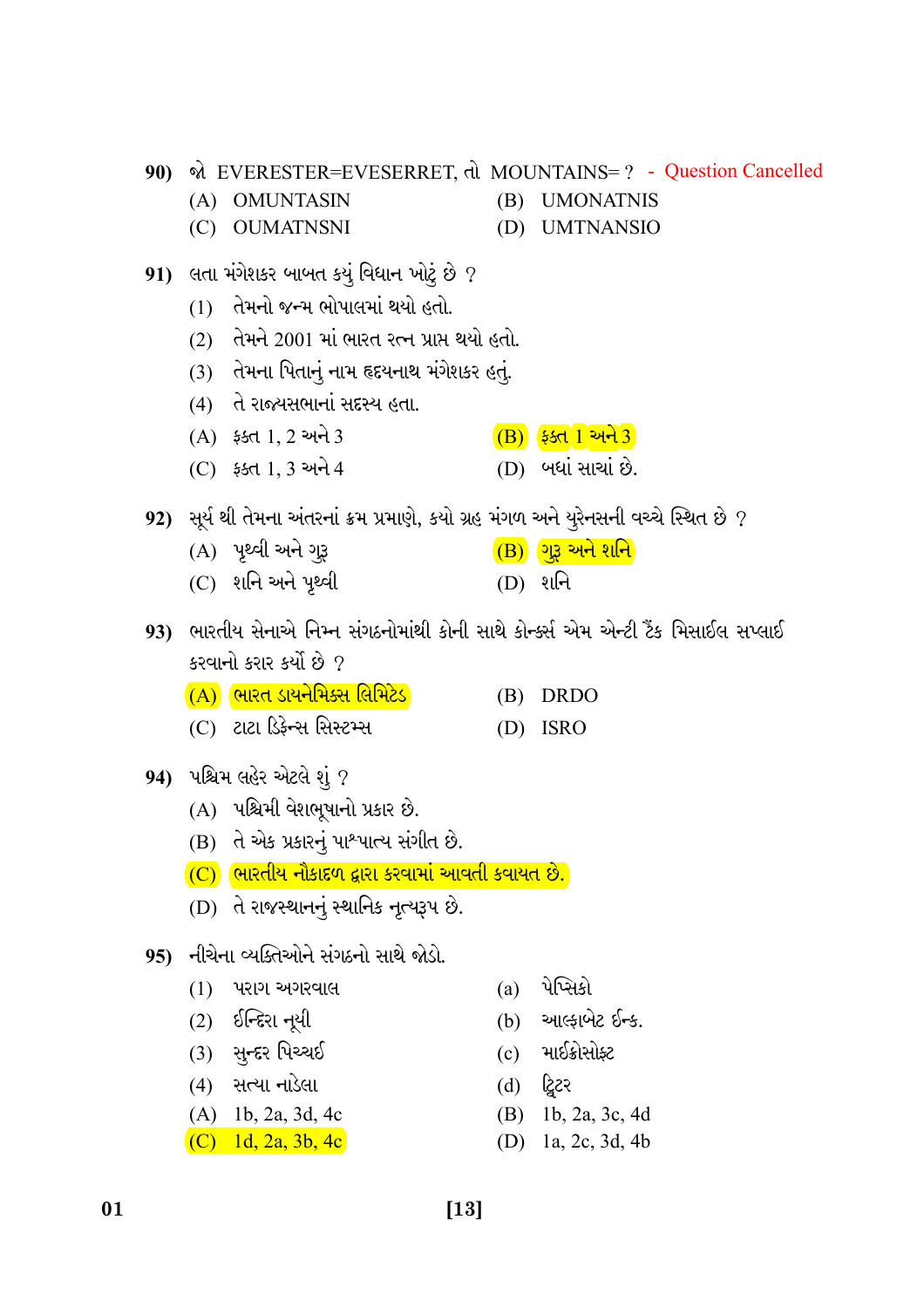|     |     |                                                                                        |            | 90) એ EVERESTER=EVESERRET, તો MOUNTAINS=? - Question Cancelled |
|-----|-----|----------------------------------------------------------------------------------------|------------|----------------------------------------------------------------|
|     | (A) | <b>OMUNTASIN</b>                                                                       | (B)        | <b>UMONATNIS</b>                                               |
|     |     | (C) OUMATNSNI                                                                          |            | (D) UMTNANSIO                                                  |
| 91) |     | ્લતા મંગેશકર બાબત કયું વિધાન ખોટું છે ?                                                |            |                                                                |
|     | (1) | તેમનો જન્મ ભોપાલમાં થયો હતો.                                                           |            |                                                                |
|     |     | (2) તેમને 2001 માં ભારત રત્ન પ્રાપ્ત થયો હતો.                                          |            |                                                                |
|     |     | (3) તેમના પિતાનું નામ હૃદયનાથ મંગેશકર હતું.                                            |            |                                                                |
|     |     | (4) ते राज्यसलानां सदृस्य हता.                                                         |            |                                                                |
|     |     | $(A)$ $$st1, 2$ અને 3                                                                  |            | $(B)$ ફક્ત 1 અને 3                                             |
|     |     | (C) ફક્ત 1, 3 અને 4                                                                    |            | (D) બધાં સાચાં છે.                                             |
|     |     | 92)   સૂર્ય થી તેમના અંતરનાં ક્રમ પ્રમાણે, કયો ગ્રહ મંગળ અને યુરેનસની વચ્ચે સ્થિત છે ? |            |                                                                |
|     |     | (A) પૃથ્વી અને ગ <u>રૂ</u>                                                             |            | $\overline{(B)}$ ગુરૂ અને શનિ                                  |
|     |     | (C) શનિ અને પૃથ્વી                                                                     |            | $(D)$ શનિ                                                      |
|     |     | 93) ભારતીય સેનાએ નિમ્ન સંગઠનોમાંથી કોની સાથે કોન્ક્સ એમ એન્ટી ટૈંક મિસાઈલ સપ્લાઈ       |            |                                                                |
|     |     | કરવાનો કરાર કર્યો છે ?                                                                 |            |                                                                |
|     |     | <u>(A) ભારત ડાયનેમિક્સ લિમિટેડ </u>                                                    | (B)        | <b>DRDO</b>                                                    |
|     |     | (C) ટાટા ડિફેન્સ સિસ્ટમ્સ                                                              | (D)        | <b>ISRO</b>                                                    |
|     |     |                                                                                        |            |                                                                |
|     |     | 94) પશ્ચિમ લહેર એટલે શું ?                                                             |            |                                                                |
|     |     |                                                                                        |            |                                                                |
|     |     | (A) પશ્ચિમી વેશભૂષાનો પ્રકાર છે.                                                       |            |                                                                |
|     |     | (B) તે એક પ્રકારનું પાશ્પાત્ય સંગીત છે.                                                |            |                                                                |
|     |     | <mark>(C) ભારતીય નૌકાદળ દ્વારા કરવામાં આવતી કવાયત છે.</mark>                           |            |                                                                |
|     | (D) | તે રાજસ્થાનનું સ્થાનિક નૃત્યરૂપ છે.                                                    |            |                                                                |
| 95) |     | નીચેના વ્યક્તિઓને સંગઠનો સાથે જોડો.                                                    |            |                                                                |
|     | (1) | પરાગ અગરવાલ                                                                            | (a)        | પેપ્સિકો                                                       |
|     | (2) | ઈન્દિરા નૂયી                                                                           | (b)        | આલ્ફાબેટ ઈન્ક.                                                 |
|     | (3) | સુન્દર પિચ્ચઈ                                                                          | (c)        | માઈક્રોસોફ્ટ                                                   |
|     |     | (4) સત્યા નાડેલા                                                                       | (d)        | ટ્વિટર                                                         |
|     |     | $(A)$ 1b, 2a, 3d, 4c<br>(C) 1d, 2a, 3b, 4c                                             | (B)<br>(D) | 1b, 2a, 3c, 4d<br>1a, 2c, 3d, 4b                               |